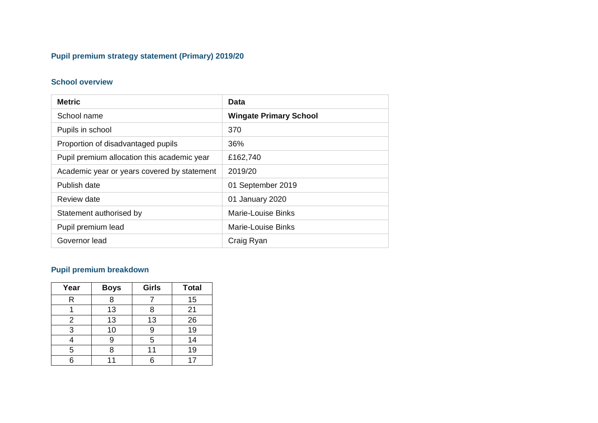# **Pupil premium strategy statement (Primary) 2019/20**

#### **School overview**

| <b>Metric</b>                               | Data                          |  |  |
|---------------------------------------------|-------------------------------|--|--|
| School name                                 | <b>Wingate Primary School</b> |  |  |
| Pupils in school                            | 370                           |  |  |
| Proportion of disadvantaged pupils          | 36%                           |  |  |
| Pupil premium allocation this academic year | £162,740                      |  |  |
| Academic year or years covered by statement | 2019/20                       |  |  |
| Publish date                                | 01 September 2019             |  |  |
| Review date                                 | 01 January 2020               |  |  |
| Statement authorised by                     | Marie-Louise Binks            |  |  |
| Pupil premium lead                          | Marie-Louise Binks            |  |  |
| Governor lead                               | Craig Ryan                    |  |  |

# **Pupil premium breakdown**

| Year | <b>Boys</b> | <b>Girls</b> | <b>Total</b> |
|------|-------------|--------------|--------------|
| R    | 8           |              | 15           |
|      | 13          | 8            | 21           |
| 2    | 13          | 13           | 26           |
| 3    | 10          | 9            | 19           |
|      |             | 5            | 14           |
| 5    |             | 11           | 19           |
|      |             | 6            | 17           |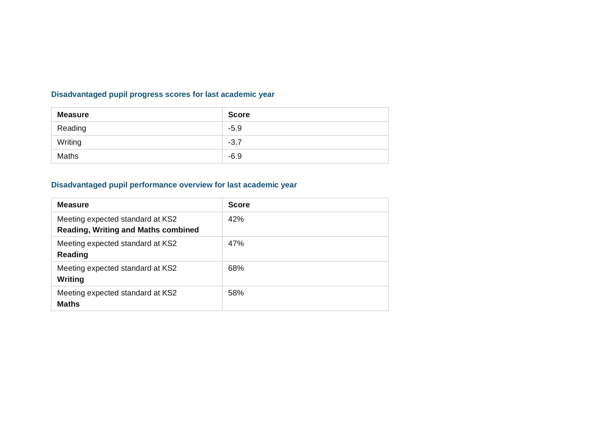## **Disadvantaged pupil progress scores for last academic year**

| <b>Measure</b> | <b>Score</b> |
|----------------|--------------|
| Reading        | $-5.9$       |
| Writing        | $-3.7$       |
| Maths          | $-6.9$       |

## **Disadvantaged pupil performance overview for last academic year**

| <b>Measure</b>                                                                 | <b>Score</b> |
|--------------------------------------------------------------------------------|--------------|
| Meeting expected standard at KS2<br><b>Reading, Writing and Maths combined</b> | 42%          |
| Meeting expected standard at KS2<br><b>Reading</b>                             | 47%          |
| Meeting expected standard at KS2<br><b>Writing</b>                             | 68%          |
| Meeting expected standard at KS2<br><b>Maths</b>                               | 58%          |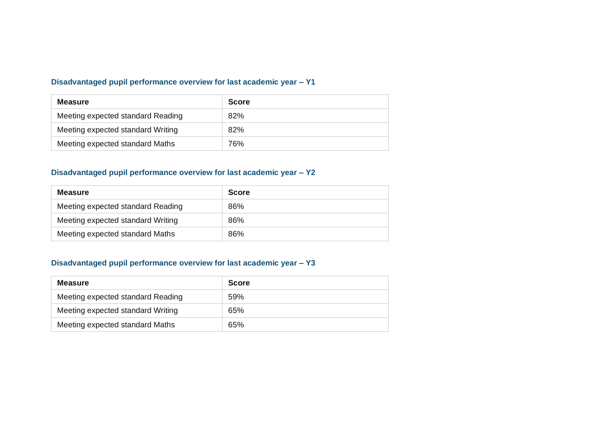#### **Disadvantaged pupil performance overview for last academic year – Y1**

| <b>Measure</b>                    | <b>Score</b> |
|-----------------------------------|--------------|
| Meeting expected standard Reading | 82%          |
| Meeting expected standard Writing | 82%          |
| Meeting expected standard Maths   | 76%          |

#### **Disadvantaged pupil performance overview for last academic year – Y2**

| <b>Measure</b>                    | <b>Score</b> |
|-----------------------------------|--------------|
| Meeting expected standard Reading | 86%          |
| Meeting expected standard Writing | 86%          |
| Meeting expected standard Maths   | 86%          |

#### **Disadvantaged pupil performance overview for last academic year – Y3**

| <b>Measure</b>                    | <b>Score</b> |
|-----------------------------------|--------------|
| Meeting expected standard Reading | 59%          |
| Meeting expected standard Writing | 65%          |
| Meeting expected standard Maths   | 65%          |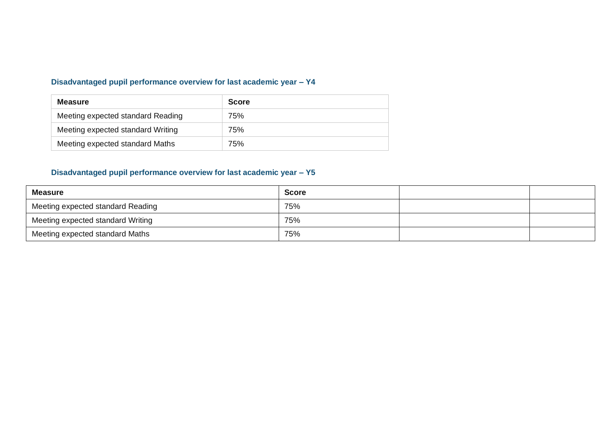### **Disadvantaged pupil performance overview for last academic year – Y4**

| <b>Measure</b>                    | <b>Score</b> |
|-----------------------------------|--------------|
| Meeting expected standard Reading | 75%          |
| Meeting expected standard Writing | 75%          |
| Meeting expected standard Maths   | 75%          |

### **Disadvantaged pupil performance overview for last academic year – Y5**

| <b>Measure</b>                    | <b>Score</b> |  |
|-----------------------------------|--------------|--|
| Meeting expected standard Reading | 75%          |  |
| Meeting expected standard Writing | 75%          |  |
| Meeting expected standard Maths   | 75%          |  |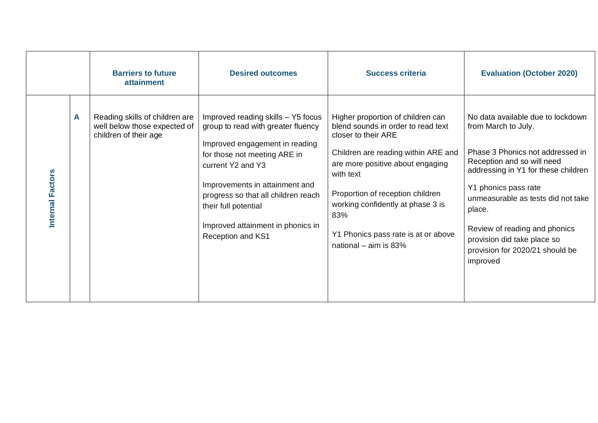|                  |   | <b>Barriers to future</b><br><b>attainment</b>                                          | <b>Desired outcomes</b>                                                                                                                                                                                                                                                                                                    | <b>Success criteria</b>                                                                                                                                                                                                                                                                                                                  | <b>Evaluation (October 2020)</b>                                                                                                                                                                                                                                                                                                                         |
|------------------|---|-----------------------------------------------------------------------------------------|----------------------------------------------------------------------------------------------------------------------------------------------------------------------------------------------------------------------------------------------------------------------------------------------------------------------------|------------------------------------------------------------------------------------------------------------------------------------------------------------------------------------------------------------------------------------------------------------------------------------------------------------------------------------------|----------------------------------------------------------------------------------------------------------------------------------------------------------------------------------------------------------------------------------------------------------------------------------------------------------------------------------------------------------|
| Internal Factors | A | Reading skills of children are<br>well below those expected of<br>children of their age | Improved reading skills - Y5 focus<br>group to read with greater fluency<br>Improved engagement in reading<br>for those not meeting ARE in<br>current Y2 and Y3<br>Improvements in attainment and<br>progress so that all children reach<br>their full potential<br>Improved attainment in phonics in<br>Reception and KS1 | Higher proportion of children can<br>blend sounds in order to read text<br>closer to their ARE<br>Children are reading within ARE and<br>are more positive about engaging<br>with text<br>Proportion of reception children<br>working confidently at phase 3 is<br>83%<br>Y1 Phonics pass rate is at or above<br>national $-$ aim is 83% | No data available due to lockdown<br>from March to July.<br>Phase 3 Phonics not addressed in<br>Reception and so will need<br>addressing in Y1 for these children<br>Y1 phonics pass rate<br>unmeasurable as tests did not take<br>place.<br>Review of reading and phonics<br>provision did take place so<br>provision for 2020/21 should be<br>improved |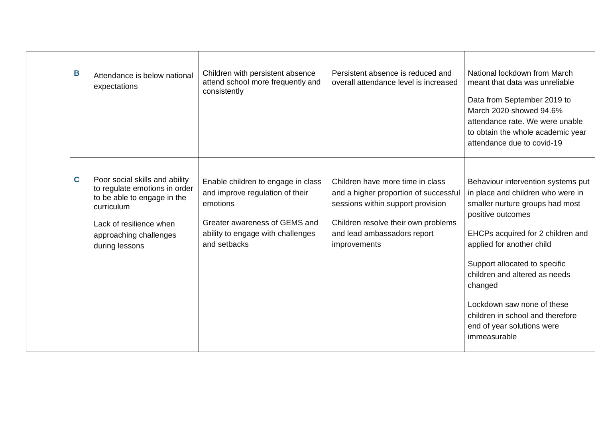| B | Attendance is below national<br>expectations                                                                                                                                        | Children with persistent absence<br>attend school more frequently and<br>consistently                                                                                   | Persistent absence is reduced and<br>overall attendance level is increased                                                                                                                           | National lockdown from March<br>meant that data was unreliable<br>Data from September 2019 to<br>March 2020 showed 94.6%<br>attendance rate. We were unable<br>to obtain the whole academic year<br>attendance due to covid-19                                                                                                                                                                 |
|---|-------------------------------------------------------------------------------------------------------------------------------------------------------------------------------------|-------------------------------------------------------------------------------------------------------------------------------------------------------------------------|------------------------------------------------------------------------------------------------------------------------------------------------------------------------------------------------------|------------------------------------------------------------------------------------------------------------------------------------------------------------------------------------------------------------------------------------------------------------------------------------------------------------------------------------------------------------------------------------------------|
| C | Poor social skills and ability<br>to regulate emotions in order<br>to be able to engage in the<br>curriculum<br>Lack of resilience when<br>approaching challenges<br>during lessons | Enable children to engage in class<br>and improve regulation of their<br>emotions<br>Greater awareness of GEMS and<br>ability to engage with challenges<br>and setbacks | Children have more time in class<br>and a higher proportion of successful<br>sessions within support provision<br>Children resolve their own problems<br>and lead ambassadors report<br>improvements | Behaviour intervention systems put<br>in place and children who were in<br>smaller nurture groups had most<br>positive outcomes<br>EHCPs acquired for 2 children and<br>applied for another child<br>Support allocated to specific<br>children and altered as needs<br>changed<br>Lockdown saw none of these<br>children in school and therefore<br>end of year solutions were<br>immeasurable |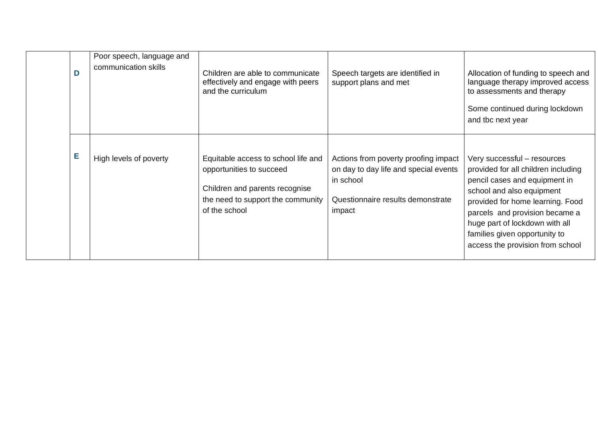|  | D | Poor speech, language and<br>communication skills | Children are able to communicate<br>effectively and engage with peers<br>and the curriculum                                                             | Speech targets are identified in<br>support plans and met                                                                                 | Allocation of funding to speech and<br>language therapy improved access<br>to assessments and therapy<br>Some continued during lockdown<br>and tbc next year                                                                                                                                                  |
|--|---|---------------------------------------------------|---------------------------------------------------------------------------------------------------------------------------------------------------------|-------------------------------------------------------------------------------------------------------------------------------------------|---------------------------------------------------------------------------------------------------------------------------------------------------------------------------------------------------------------------------------------------------------------------------------------------------------------|
|  | Е | High levels of poverty                            | Equitable access to school life and<br>opportunities to succeed<br>Children and parents recognise<br>the need to support the community<br>of the school | Actions from poverty proofing impact<br>on day to day life and special events<br>in school<br>Questionnaire results demonstrate<br>impact | Very successful - resources<br>provided for all children including<br>pencil cases and equipment in<br>school and also equipment<br>provided for home learning. Food<br>parcels and provision became a<br>huge part of lockdown with all<br>families given opportunity to<br>access the provision from school |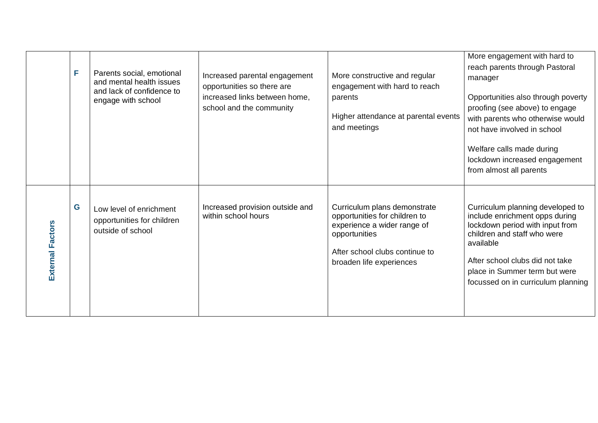|                         | F | Parents social, emotional<br>and mental health issues<br>and lack of confidence to<br>engage with school | Increased parental engagement<br>opportunities so there are<br>increased links between home,<br>school and the community | More constructive and regular<br>engagement with hard to reach<br>parents<br>Higher attendance at parental events<br>and meetings                                           | More engagement with hard to<br>reach parents through Pastoral<br>manager<br>Opportunities also through poverty<br>proofing (see above) to engage<br>with parents who otherwise would<br>not have involved in school<br>Welfare calls made during<br>lockdown increased engagement<br>from almost all parents |
|-------------------------|---|----------------------------------------------------------------------------------------------------------|--------------------------------------------------------------------------------------------------------------------------|-----------------------------------------------------------------------------------------------------------------------------------------------------------------------------|---------------------------------------------------------------------------------------------------------------------------------------------------------------------------------------------------------------------------------------------------------------------------------------------------------------|
| <b>External Factors</b> | G | Low level of enrichment<br>opportunities for children<br>outside of school                               | Increased provision outside and<br>within school hours                                                                   | Curriculum plans demonstrate<br>opportunities for children to<br>experience a wider range of<br>opportunities<br>After school clubs continue to<br>broaden life experiences | Curriculum planning developed to<br>include enrichment opps during<br>lockdown period with input from<br>children and staff who were<br>available<br>After school clubs did not take<br>place in Summer term but were<br>focussed on in curriculum planning                                                   |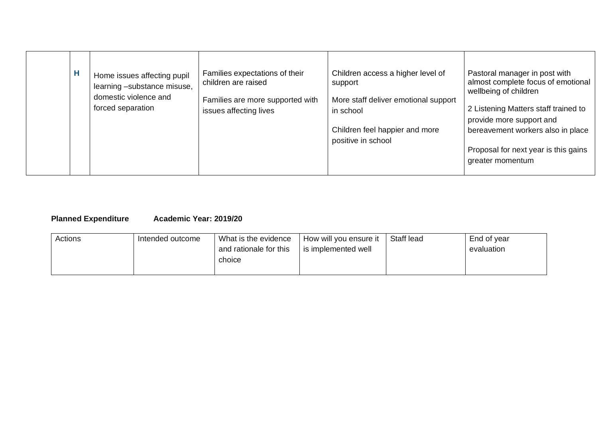| Н |  | Home issues affecting pupil<br>learning -substance misuse,<br>domestic violence and<br>forced separation | Families expectations of their<br>children are raised<br>Families are more supported with<br>issues affecting lives | Children access a higher level of<br>support<br>More staff deliver emotional support<br>in school<br>Children feel happier and more<br>positive in school | Pastoral manager in post with<br>almost complete focus of emotional<br>wellbeing of children<br>2 Listening Matters staff trained to<br>provide more support and<br>bereavement workers also in place<br>Proposal for next year is this gains<br>greater momentum |
|---|--|----------------------------------------------------------------------------------------------------------|---------------------------------------------------------------------------------------------------------------------|-----------------------------------------------------------------------------------------------------------------------------------------------------------|-------------------------------------------------------------------------------------------------------------------------------------------------------------------------------------------------------------------------------------------------------------------|
|---|--|----------------------------------------------------------------------------------------------------------|---------------------------------------------------------------------------------------------------------------------|-----------------------------------------------------------------------------------------------------------------------------------------------------------|-------------------------------------------------------------------------------------------------------------------------------------------------------------------------------------------------------------------------------------------------------------------|

# **Planned Expenditure Academic Year: 2019/20**

| Actions | Intended outcome | What is the evidence   | How will you ensure it | Staff lead | End of year |
|---------|------------------|------------------------|------------------------|------------|-------------|
|         |                  | and rationale for this | is implemented well    |            | evaluation  |
|         |                  | choice                 |                        |            |             |
|         |                  |                        |                        |            |             |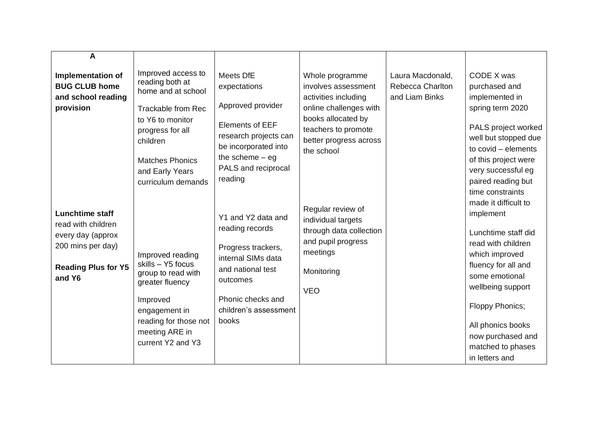| A                                                                                                                              |                                                                                                                                                                                                                 |                                                                                                                                                                                  |                                                                                                                                                                               |                                                        |                                                                                                                                                                                                                                                                    |
|--------------------------------------------------------------------------------------------------------------------------------|-----------------------------------------------------------------------------------------------------------------------------------------------------------------------------------------------------------------|----------------------------------------------------------------------------------------------------------------------------------------------------------------------------------|-------------------------------------------------------------------------------------------------------------------------------------------------------------------------------|--------------------------------------------------------|--------------------------------------------------------------------------------------------------------------------------------------------------------------------------------------------------------------------------------------------------------------------|
| <b>Implementation of</b><br><b>BUG CLUB home</b><br>and school reading<br>provision                                            | Improved access to<br>reading both at<br>home and at school<br><b>Trackable from Rec</b><br>to Y6 to monitor<br>progress for all<br>children<br><b>Matches Phonics</b><br>and Early Years<br>curriculum demands | Meets DfE<br>expectations<br>Approved provider<br><b>Elements of EEF</b><br>research projects can<br>be incorporated into<br>the scheme $-$ eg<br>PALS and reciprocal<br>reading | Whole programme<br>involves assessment<br>activities including<br>online challenges with<br>books allocated by<br>teachers to promote<br>better progress across<br>the school | Laura Macdonald,<br>Rebecca Charlton<br>and Liam Binks | CODE X was<br>purchased and<br>implemented in<br>spring term 2020<br>PALS project worked<br>well but stopped due<br>to covid - elements<br>of this project were<br>very successful eg<br>paired reading but<br>time constraints                                    |
| <b>Lunchtime staff</b><br>read with children<br>every day (approx<br>200 mins per day)<br><b>Reading Plus for Y5</b><br>and Y6 | Improved reading<br>skills - Y5 focus<br>group to read with<br>greater fluency<br>Improved<br>engagement in<br>reading for those not<br>meeting ARE in<br>current Y2 and Y3                                     | Y1 and Y2 data and<br>reading records<br>Progress trackers,<br>internal SIMs data<br>and national test<br>outcomes<br>Phonic checks and<br>children's assessment<br>books        | Regular review of<br>individual targets<br>through data collection<br>and pupil progress<br>meetings<br>Monitoring<br><b>VEO</b>                                              |                                                        | made it difficult to<br>implement<br>Lunchtime staff did<br>read with children<br>which improved<br>fluency for all and<br>some emotional<br>wellbeing support<br>Floppy Phonics;<br>All phonics books<br>now purchased and<br>matched to phases<br>in letters and |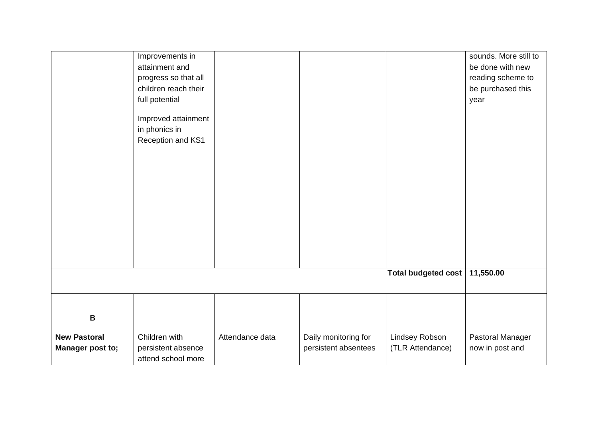|                     | Improvements in      |                 |                      |                            | sounds. More still to |
|---------------------|----------------------|-----------------|----------------------|----------------------------|-----------------------|
|                     |                      |                 |                      |                            |                       |
|                     | attainment and       |                 |                      |                            | be done with new      |
|                     | progress so that all |                 |                      |                            | reading scheme to     |
|                     | children reach their |                 |                      |                            | be purchased this     |
|                     | full potential       |                 |                      |                            | year                  |
|                     |                      |                 |                      |                            |                       |
|                     | Improved attainment  |                 |                      |                            |                       |
|                     | in phonics in        |                 |                      |                            |                       |
|                     | Reception and KS1    |                 |                      |                            |                       |
|                     |                      |                 |                      |                            |                       |
|                     |                      |                 |                      |                            |                       |
|                     |                      |                 |                      |                            |                       |
|                     |                      |                 |                      |                            |                       |
|                     |                      |                 |                      |                            |                       |
|                     |                      |                 |                      |                            |                       |
|                     |                      |                 |                      |                            |                       |
|                     |                      |                 |                      |                            |                       |
|                     |                      |                 |                      |                            |                       |
|                     |                      |                 |                      |                            |                       |
|                     |                      |                 |                      |                            |                       |
|                     |                      |                 |                      |                            |                       |
|                     |                      |                 |                      |                            |                       |
|                     |                      |                 |                      | <b>Total budgeted cost</b> | 11,550.00             |
|                     |                      |                 |                      |                            |                       |
|                     |                      |                 |                      |                            |                       |
|                     |                      |                 |                      |                            |                       |
| $\mathbf B$         |                      |                 |                      |                            |                       |
| <b>New Pastoral</b> | Children with        | Attendance data | Daily monitoring for | Lindsey Robson             | Pastoral Manager      |
|                     |                      |                 |                      |                            |                       |
| Manager post to;    | persistent absence   |                 | persistent absentees | (TLR Attendance)           | now in post and       |
|                     | attend school more   |                 |                      |                            |                       |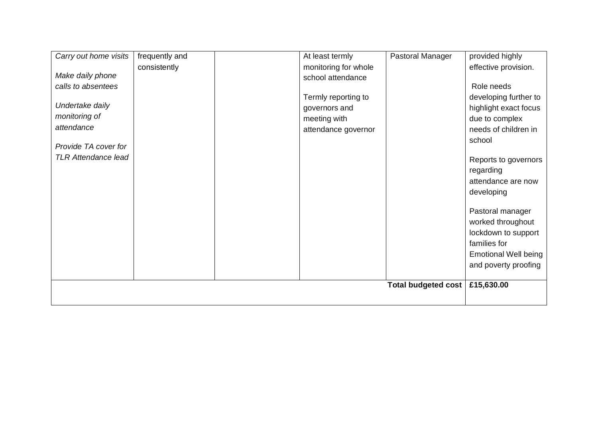| Carry out home visits      | frequently and | At least termly      | Pastoral Manager           | provided highly             |
|----------------------------|----------------|----------------------|----------------------------|-----------------------------|
|                            | consistently   | monitoring for whole |                            | effective provision.        |
| Make daily phone           |                | school attendance    |                            |                             |
| calls to absentees         |                |                      |                            | Role needs                  |
|                            |                | Termly reporting to  |                            | developing further to       |
| Undertake daily            |                | governors and        |                            | highlight exact focus       |
| monitoring of              |                | meeting with         |                            | due to complex              |
| attendance                 |                | attendance governor  |                            | needs of children in        |
|                            |                |                      |                            | school                      |
| Provide TA cover for       |                |                      |                            |                             |
| <b>TLR Attendance lead</b> |                |                      |                            | Reports to governors        |
|                            |                |                      |                            | regarding                   |
|                            |                |                      |                            | attendance are now          |
|                            |                |                      |                            | developing                  |
|                            |                |                      |                            |                             |
|                            |                |                      |                            | Pastoral manager            |
|                            |                |                      |                            | worked throughout           |
|                            |                |                      |                            | lockdown to support         |
|                            |                |                      |                            | families for                |
|                            |                |                      |                            | <b>Emotional Well being</b> |
|                            |                |                      |                            | and poverty proofing        |
|                            |                |                      |                            |                             |
|                            |                |                      | <b>Total budgeted cost</b> | £15,630.00                  |
|                            |                |                      |                            |                             |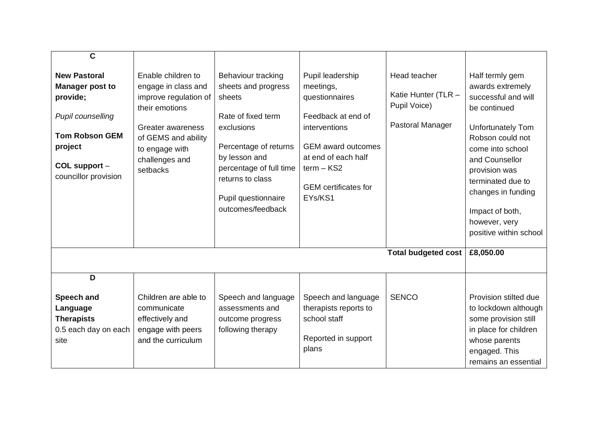| $\mathbf C$<br><b>New Pastoral</b><br><b>Manager post to</b><br>provide;<br><b>Pupil counselling</b><br><b>Tom Robson GEM</b><br>project<br>COL support -<br>councillor provision | Enable children to<br>engage in class and<br>improve regulation of<br>their emotions<br>Greater awareness<br>of GEMS and ability<br>to engage with<br>challenges and<br>setbacks | Behaviour tracking<br>sheets and progress<br>sheets<br>Rate of fixed term<br>exclusions<br>Percentage of returns<br>by lesson and<br>percentage of full time<br>returns to class<br>Pupil questionnaire<br>outcomes/feedback | Pupil leadership<br>meetings,<br>questionnaires<br>Feedback at end of<br>interventions<br><b>GEM</b> award outcomes<br>at end of each half<br>$term - KS2$<br><b>GEM</b> certificates for<br>EYs/KS1 | Head teacher<br>Katie Hunter (TLR -<br>Pupil Voice)<br>Pastoral Manager | Half termly gem<br>awards extremely<br>successful and will<br>be continued<br><b>Unfortunately Tom</b><br>Robson could not<br>come into school<br>and Counsellor<br>provision was<br>terminated due to<br>changes in funding<br>Impact of both,<br>however, very<br>positive within school |
|-----------------------------------------------------------------------------------------------------------------------------------------------------------------------------------|----------------------------------------------------------------------------------------------------------------------------------------------------------------------------------|------------------------------------------------------------------------------------------------------------------------------------------------------------------------------------------------------------------------------|------------------------------------------------------------------------------------------------------------------------------------------------------------------------------------------------------|-------------------------------------------------------------------------|--------------------------------------------------------------------------------------------------------------------------------------------------------------------------------------------------------------------------------------------------------------------------------------------|
|                                                                                                                                                                                   |                                                                                                                                                                                  |                                                                                                                                                                                                                              |                                                                                                                                                                                                      | <b>Total budgeted cost</b>                                              | £8,050.00                                                                                                                                                                                                                                                                                  |
| D<br><b>Speech and</b><br>Language<br><b>Therapists</b><br>0.5 each day on each<br>site                                                                                           | Children are able to<br>communicate<br>effectively and<br>engage with peers<br>and the curriculum                                                                                | Speech and language<br>assessments and<br>outcome progress<br>following therapy                                                                                                                                              | Speech and language<br>therapists reports to<br>school staff<br>Reported in support<br>plans                                                                                                         | <b>SENCO</b>                                                            | Provision stilted due<br>to lockdown although<br>some provision still<br>in place for children<br>whose parents<br>engaged. This<br>remains an essential                                                                                                                                   |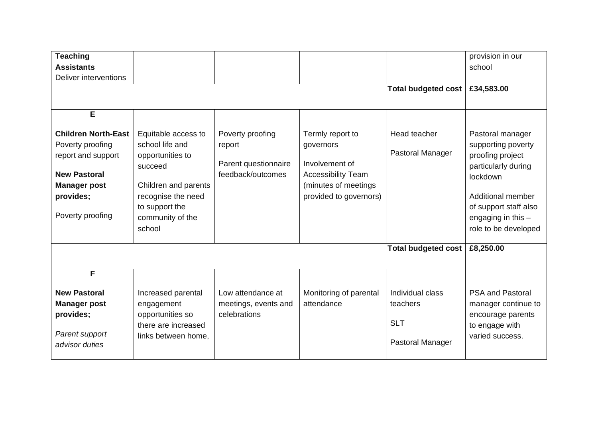| <b>Teaching</b><br><b>Assistants</b><br>Deliver interventions                                                                                            |                                                                                                                                                                     |                                                                         |                                                                                                                                | <b>Total budgeted cost</b>                                     | provision in our<br>school<br>£34,583.00                                                                                                                                                    |
|----------------------------------------------------------------------------------------------------------------------------------------------------------|---------------------------------------------------------------------------------------------------------------------------------------------------------------------|-------------------------------------------------------------------------|--------------------------------------------------------------------------------------------------------------------------------|----------------------------------------------------------------|---------------------------------------------------------------------------------------------------------------------------------------------------------------------------------------------|
| E<br><b>Children North-East</b><br>Poverty proofing<br>report and support<br><b>New Pastoral</b><br><b>Manager post</b><br>provides;<br>Poverty proofing | Equitable access to<br>school life and<br>opportunities to<br>succeed<br>Children and parents<br>recognise the need<br>to support the<br>community of the<br>school | Poverty proofing<br>report<br>Parent questionnaire<br>feedback/outcomes | Termly report to<br>governors<br>Involvement of<br><b>Accessibility Team</b><br>(minutes of meetings<br>provided to governors) | Head teacher<br>Pastoral Manager                               | Pastoral manager<br>supporting poverty<br>proofing project<br>particularly during<br>lockdown<br>Additional member<br>of support staff also<br>engaging in this $-$<br>role to be developed |
|                                                                                                                                                          |                                                                                                                                                                     |                                                                         |                                                                                                                                | <b>Total budgeted cost</b>                                     | £8,250.00                                                                                                                                                                                   |
| F<br><b>New Pastoral</b><br><b>Manager post</b><br>provides;<br>Parent support<br>advisor duties                                                         | Increased parental<br>engagement<br>opportunities so<br>there are increased<br>links between home,                                                                  | Low attendance at<br>meetings, events and<br>celebrations               | Monitoring of parental<br>attendance                                                                                           | Individual class<br>teachers<br><b>SLT</b><br>Pastoral Manager | <b>PSA and Pastoral</b><br>manager continue to<br>encourage parents<br>to engage with<br>varied success.                                                                                    |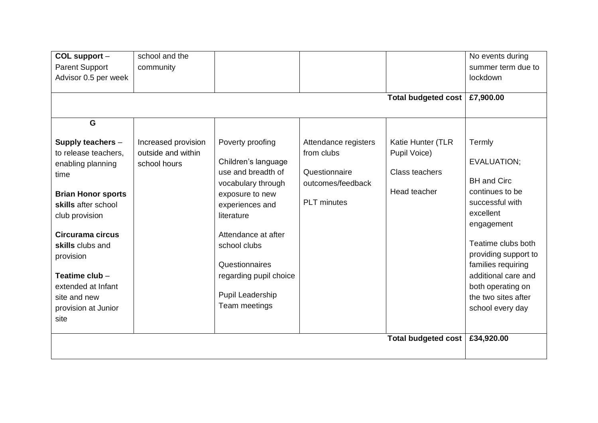| COL support -<br><b>Parent Support</b><br>Advisor 0.5 per week<br>G                                                                                                                                                                                                                      | school and the<br>community                               |                                                                                                                                                                                                                                                                 |                                                                                                | Total budgeted cost   £7,900.00                                            | No events during<br>summer term due to<br>lockdown                                                                                                                                                                                                                      |
|------------------------------------------------------------------------------------------------------------------------------------------------------------------------------------------------------------------------------------------------------------------------------------------|-----------------------------------------------------------|-----------------------------------------------------------------------------------------------------------------------------------------------------------------------------------------------------------------------------------------------------------------|------------------------------------------------------------------------------------------------|----------------------------------------------------------------------------|-------------------------------------------------------------------------------------------------------------------------------------------------------------------------------------------------------------------------------------------------------------------------|
| Supply teachers -<br>to release teachers.<br>enabling planning<br>time<br><b>Brian Honor sports</b><br>skills after school<br>club provision<br>Circurama circus<br>skills clubs and<br>provision<br>Teatime club -<br>extended at Infant<br>site and new<br>provision at Junior<br>site | Increased provision<br>outside and within<br>school hours | Poverty proofing<br>Children's language<br>use and breadth of<br>vocabulary through<br>exposure to new<br>experiences and<br>literature<br>Attendance at after<br>school clubs<br>Questionnaires<br>regarding pupil choice<br>Pupil Leadership<br>Team meetings | Attendance registers<br>from clubs<br>Questionnaire<br>outcomes/feedback<br><b>PLT</b> minutes | Katie Hunter (TLR<br>Pupil Voice)<br><b>Class teachers</b><br>Head teacher | Termly<br>EVALUATION;<br><b>BH</b> and Circ<br>continues to be<br>successful with<br>excellent<br>engagement<br>Teatime clubs both<br>providing support to<br>families requiring<br>additional care and<br>both operating on<br>the two sites after<br>school every day |
|                                                                                                                                                                                                                                                                                          |                                                           |                                                                                                                                                                                                                                                                 |                                                                                                | <b>Total budgeted cost</b>                                                 | £34,920.00                                                                                                                                                                                                                                                              |